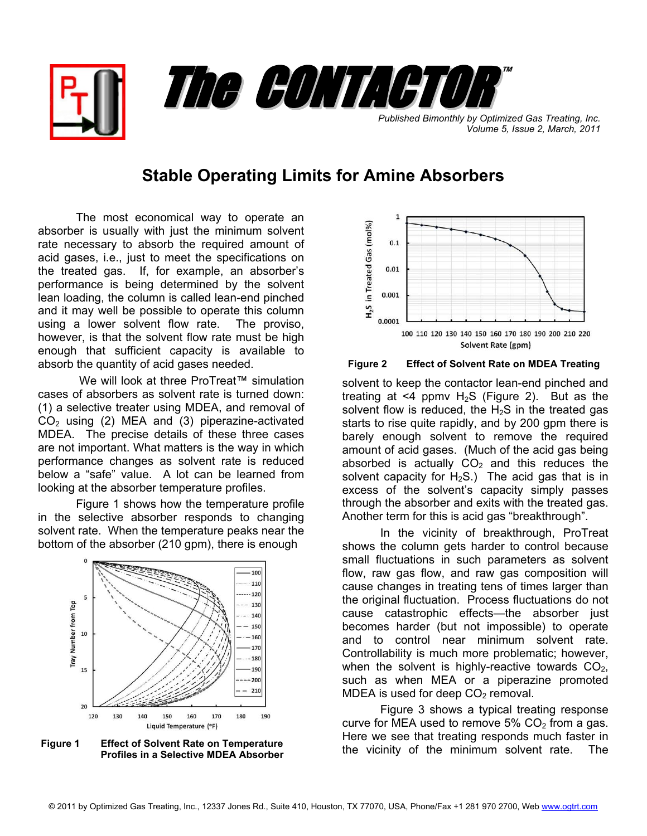

**Published Bimonthly by Optimized Gas Treating, Inc.** *Volume 5, Issue 2, March, 2011*

## **Stable Operating Limits for Amine Absorbers**

The most economical way to operate an absorber is usually with just the minimum solvent rate necessary to absorb the required amount of acid gases, i.e., just to meet the specifications on the treated gas. If, for example, an absorber's performance is being determined by the solvent lean loading, the column is called lean-end pinched and it may well be possible to operate this column using a lower solvent flow rate. The proviso, however, is that the solvent flow rate must be high enough that sufficient capacity is available to absorb the quantity of acid gases needed.

We will look at three ProTreat™ simulation cases of absorbers as solvent rate is turned down: (1) a selective treater using MDEA, and removal of  $CO<sub>2</sub>$  using (2) MEA and (3) piperazine-activated MDEA. The precise details of these three cases are not important. What matters is the way in which performance changes as solvent rate is reduced below a "safe" value. A lot can be learned from looking at the absorber temperature profiles.

Figure 1 shows how the temperature profile in the selective absorber responds to changing solvent rate. When the temperature peaks near the bottom of the absorber (210 gpm), there is enough



**Figure 1 Effect of Solvent Rate on Temperature Profiles in a Selective MDEA Absorber**



**Figure 2 Effect of Solvent Rate on MDEA Treating**

solvent to keep the contactor lean-end pinched and treating at  $\leq 4$  ppmv H<sub>2</sub>S (Figure 2). But as the solvent flow is reduced, the  $H_2S$  in the treated gas starts to rise quite rapidly, and by 200 gpm there is barely enough solvent to remove the required amount of acid gases. (Much of the acid gas being absorbed is actually  $CO<sub>2</sub>$  and this reduces the solvent capacity for  $H_2S$ .) The acid gas that is in excess of the solvent's capacity simply passes through the absorber and exits with the treated gas. Another term for this is acid gas "breakthrough".

In the vicinity of breakthrough, ProTreat shows the column gets harder to control because small fluctuations in such parameters as solvent flow, raw gas flow, and raw gas composition will cause changes in treating tens of times larger than the original fluctuation. Process fluctuations do not cause catastrophic effects—the absorber just becomes harder (but not impossible) to operate and to control near minimum solvent rate. Controllability is much more problematic; however, when the solvent is highly-reactive towards  $CO<sub>2</sub>$ , such as when MEA or a piperazine promoted MDEA is used for deep  $CO<sub>2</sub>$  removal.

 Figure 3 shows a typical treating response curve for MEA used to remove  $5\%$  CO<sub>2</sub> from a gas. Here we see that treating responds much faster in the vicinity of the minimum solvent rate. The